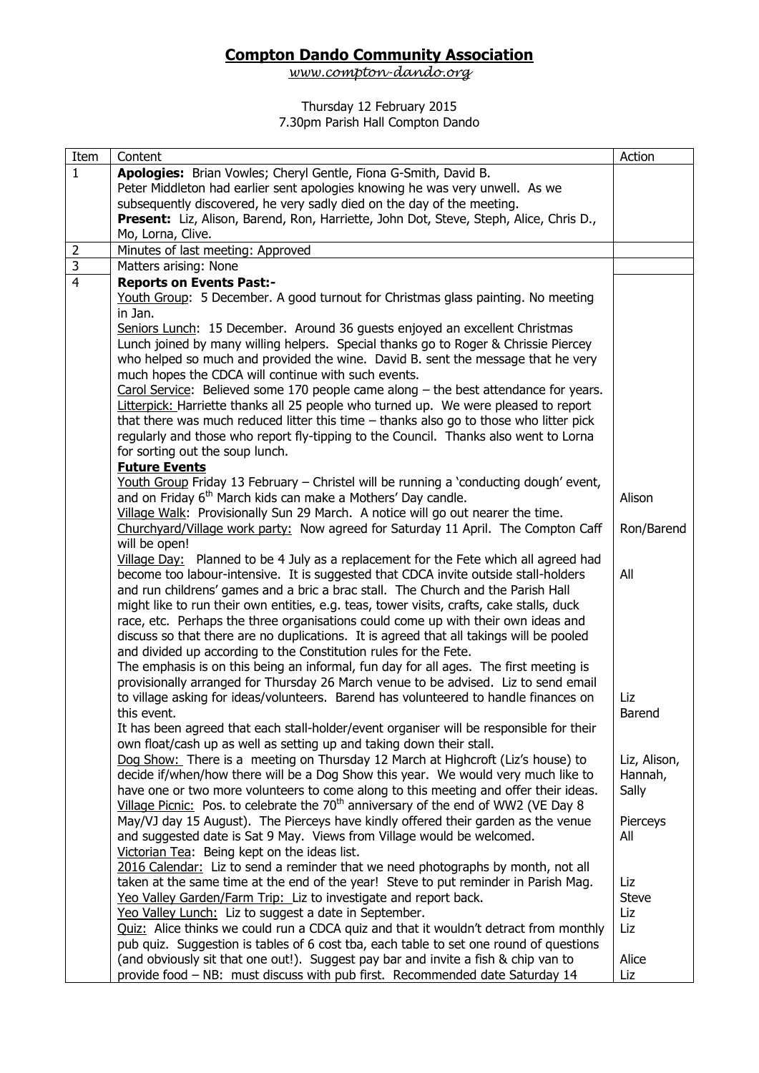## **Compton Dando Community Association**

*[www.compton-dando.org](http://www.compton-dando.org/)*

## Thursday 12 February 2015 7.30pm Parish Hall Compton Dando

| Item           | Content                                                                                                                                                                      | Action       |
|----------------|------------------------------------------------------------------------------------------------------------------------------------------------------------------------------|--------------|
| $\mathbf{1}$   | Apologies: Brian Vowles; Cheryl Gentle, Fiona G-Smith, David B.                                                                                                              |              |
|                | Peter Middleton had earlier sent apologies knowing he was very unwell. As we                                                                                                 |              |
|                | subsequently discovered, he very sadly died on the day of the meeting.                                                                                                       |              |
|                | Present: Liz, Alison, Barend, Ron, Harriette, John Dot, Steve, Steph, Alice, Chris D.,                                                                                       |              |
|                | Mo, Lorna, Clive.                                                                                                                                                            |              |
| $\overline{2}$ | Minutes of last meeting: Approved                                                                                                                                            |              |
| 3              | Matters arising: None                                                                                                                                                        |              |
| $\overline{4}$ | <b>Reports on Events Past:-</b>                                                                                                                                              |              |
|                | Youth Group: 5 December. A good turnout for Christmas glass painting. No meeting                                                                                             |              |
|                | in Jan.                                                                                                                                                                      |              |
|                | Seniors Lunch: 15 December. Around 36 guests enjoyed an excellent Christmas                                                                                                  |              |
|                | Lunch joined by many willing helpers. Special thanks go to Roger & Chrissie Piercey                                                                                          |              |
|                | who helped so much and provided the wine. David B. sent the message that he very                                                                                             |              |
|                | much hopes the CDCA will continue with such events.                                                                                                                          |              |
|                | Carol Service: Believed some 170 people came along $-$ the best attendance for years.                                                                                        |              |
|                | Litterpick: Harriette thanks all 25 people who turned up. We were pleased to report                                                                                          |              |
|                | that there was much reduced litter this time - thanks also go to those who litter pick                                                                                       |              |
|                | regularly and those who report fly-tipping to the Council. Thanks also went to Lorna                                                                                         |              |
|                | for sorting out the soup lunch.                                                                                                                                              |              |
|                | <b>Future Events</b>                                                                                                                                                         |              |
|                | <u>Youth Group</u> Friday 13 February - Christel will be running a 'conducting dough' event,                                                                                 |              |
|                | and on Friday 6 <sup>th</sup> March kids can make a Mothers' Day candle.                                                                                                     | Alison       |
|                | Village Walk: Provisionally Sun 29 March. A notice will go out nearer the time.                                                                                              |              |
|                | Churchyard/Village work party: Now agreed for Saturday 11 April. The Compton Caff                                                                                            | Ron/Barend   |
|                | will be open!                                                                                                                                                                |              |
|                | Village Day: Planned to be 4 July as a replacement for the Fete which all agreed had                                                                                         |              |
|                | become too labour-intensive. It is suggested that CDCA invite outside stall-holders                                                                                          | All          |
|                | and run childrens' games and a bric a brac stall. The Church and the Parish Hall                                                                                             |              |
|                | might like to run their own entities, e.g. teas, tower visits, crafts, cake stalls, duck                                                                                     |              |
|                | race, etc. Perhaps the three organisations could come up with their own ideas and                                                                                            |              |
|                | discuss so that there are no duplications. It is agreed that all takings will be pooled                                                                                      |              |
|                | and divided up according to the Constitution rules for the Fete.                                                                                                             |              |
|                | The emphasis is on this being an informal, fun day for all ages. The first meeting is<br>provisionally arranged for Thursday 26 March venue to be advised. Liz to send email |              |
|                | to village asking for ideas/volunteers. Barend has volunteered to handle finances on                                                                                         | Liz          |
|                |                                                                                                                                                                              |              |
|                | this event.<br>It has been agreed that each stall-holder/event organiser will be responsible for their                                                                       | Barend       |
|                | own float/cash up as well as setting up and taking down their stall.                                                                                                         |              |
|                | Dog Show: There is a meeting on Thursday 12 March at Highcroft (Liz's house) to                                                                                              | Liz, Alison, |
|                | decide if/when/how there will be a Dog Show this year. We would very much like to                                                                                            | Hannah,      |
|                | have one or two more volunteers to come along to this meeting and offer their ideas.                                                                                         | Sally        |
|                | Village Picnic: Pos. to celebrate the 70 <sup>th</sup> anniversary of the end of WW2 (VE Day 8                                                                               |              |
|                | May/VJ day 15 August). The Pierceys have kindly offered their garden as the venue                                                                                            | Pierceys     |
|                | and suggested date is Sat 9 May. Views from Village would be welcomed.                                                                                                       | All          |
|                | Victorian Tea: Being kept on the ideas list.                                                                                                                                 |              |
|                | 2016 Calendar: Liz to send a reminder that we need photographs by month, not all                                                                                             |              |
|                | taken at the same time at the end of the year! Steve to put reminder in Parish Mag.                                                                                          | Liz          |
|                | Yeo Valley Garden/Farm Trip: Liz to investigate and report back.                                                                                                             | <b>Steve</b> |
|                | Yeo Valley Lunch: Liz to suggest a date in September.                                                                                                                        | Liz          |
|                | Quiz: Alice thinks we could run a CDCA quiz and that it wouldn't detract from monthly                                                                                        | Liz          |
|                | pub quiz. Suggestion is tables of 6 cost tba, each table to set one round of questions                                                                                       |              |
|                | (and obviously sit that one out!). Suggest pay bar and invite a fish & chip van to                                                                                           | Alice        |
|                | provide food - NB: must discuss with pub first. Recommended date Saturday 14                                                                                                 | Liz          |
|                |                                                                                                                                                                              |              |